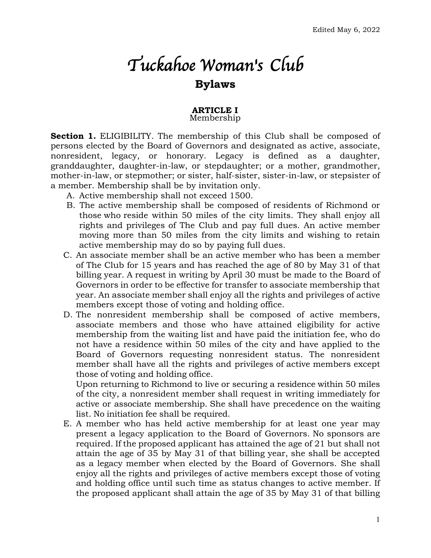# *Tuckahoe Woman's Club*  **Bylaws**

#### **ARTICLE I** Membership

**Section 1.** ELIGIBILITY. The membership of this Club shall be composed of persons elected by the Board of Governors and designated as active, associate, nonresident, legacy, or honorary. Legacy is defined as a daughter, granddaughter, daughter-in-law, or stepdaughter; or a mother, grandmother, mother-in-law, or stepmother; or sister, half-sister, sister-in-law, or stepsister of a member. Membership shall be by invitation only.

- A. Active membership shall not exceed 1500.
- B. The active membership shall be composed of residents of Richmond or those who reside within 50 miles of the city limits. They shall enjoy all rights and privileges of The Club and pay full dues. An active member moving more than 50 miles from the city limits and wishing to retain active membership may do so by paying full dues.
- C. An associate member shall be an active member who has been a member of The Club for 15 years and has reached the age of 80 by May 31 of that billing year. A request in writing by April 30 must be made to the Board of Governors in order to be effective for transfer to associate membership that year. An associate member shall enjoy all the rights and privileges of active members except those of voting and holding office.
- D. The nonresident membership shall be composed of active members, associate members and those who have attained eligibility for active membership from the waiting list and have paid the initiation fee, who do not have a residence within 50 miles of the city and have applied to the Board of Governors requesting nonresident status. The nonresident member shall have all the rights and privileges of active members except those of voting and holding office.

Upon returning to Richmond to live or securing a residence within 50 miles of the city, a nonresident member shall request in writing immediately for active or associate membership. She shall have precedence on the waiting list. No initiation fee shall be required.

E. A member who has held active membership for at least one year may present a legacy application to the Board of Governors. No sponsors are required. If the proposed applicant has attained the age of 21 but shall not attain the age of 35 by May 31 of that billing year, she shall be accepted as a legacy member when elected by the Board of Governors. She shall enjoy all the rights and privileges of active members except those of voting and holding office until such time as status changes to active member. If the proposed applicant shall attain the age of 35 by May 31 of that billing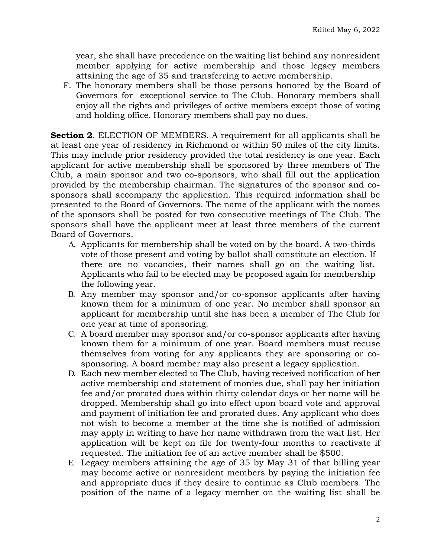year, she shall have precedence on the waiting list behind any nonresident member applying for active membership and those legacy members attaining the age of 35 and transferring to active membership.

F. The honorary members shall be those persons honored by the Board of Governors for exceptional service to The Club. Honorary members shall enjoy all the rights and privileges of active members except those of voting and holding office. Honorary members shall pay no dues.

**Section 2**. ELECTION OF MEMBERS. A requirement for all applicants shall be at least one year of residency in Richmond or within 50 miles of the city limits. This may include prior residency provided the total residency is one year. Each applicant for active membership shall be sponsored by three members of The Club, a main sponsor and two co-sponsors, who shall fill out the application provided by the membership chairman. The signatures of the sponsor and cosponsors shall accompany the application. This required information shall be presented to the Board of Governors. The name of the applicant with the names of the sponsors shall be posted for two consecutive meetings of The Club. The sponsors shall have the applicant meet at least three members of the current Board of Governors.

- A. Applicants for membership shall be voted on by the board. A two-thirds vote of those present and voting by ballot shall constitute an election. If there are no vacancies, their names shall go on the waiting list. Applicants who fail to be elected may be proposed again for membership the following year.
- B. Any member may sponsor and/or co-sponsor applicants after having known them for a minimum of one year. No member shall sponsor an applicant for membership until she has been a member of The Club for one year at time of sponsoring.
- C. A board member may sponsor and/or co-sponsor applicants after having known them for a minimum of one year. Board members must recuse themselves from voting for any applicants they are sponsoring or cosponsoring. A board member may also present a legacy application*.*
- D. Each new member elected to The Club, having received notification of her active membership and statement of monies due, shall pay her initiation fee and/or prorated dues within thirty calendar days or her name will be dropped. Membership shall go into effect upon board vote and approval and payment of initiation fee and prorated dues. Any applicant who does not wish to become a member at the time she is notified of admission may apply in writing to have her name withdrawn from the wait list. Her application will be kept on file for twenty-four months to reactivate if requested. The initiation fee of an active member shall be \$500.
- E. Legacy members attaining the age of 35 by May 31 of that billing year may become active or nonresident members by paying the initiation fee and appropriate dues if they desire to continue as Club members. The position of the name of a legacy member on the waiting list shall be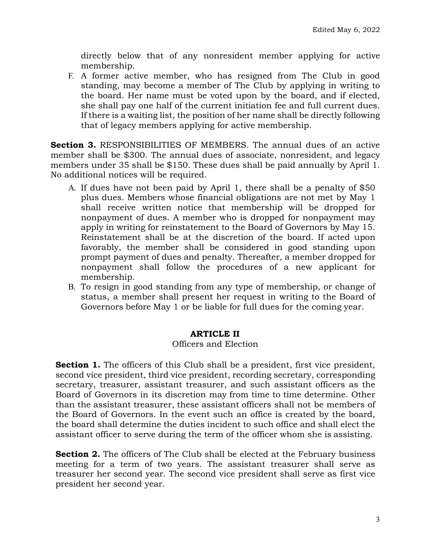directly below that of any nonresident member applying for active membership.

F. A former active member, who has resigned from The Club in good standing, may become a member of The Club by applying in writing to the board. Her name must be voted upon by the board, and if elected, she shall pay one half of the current initiation fee and full current dues. If there is a waiting list, the position of her name shall be directly following that of legacy members applying for active membership.

**Section 3.** RESPONSIBILITIES OF MEMBERS. The annual dues of an active member shall be \$300. The annual dues of associate, nonresident, and legacy members under 35 shall be \$150. These dues shall be paid annually by April 1. No additional notices will be required.

- A. If dues have not been paid by April 1, there shall be a penalty of \$50 plus dues. Members whose financial obligations are not met by May 1 shall receive written notice that membership will be dropped for nonpayment of dues. A member who is dropped for nonpayment may apply in writing for reinstatement to the Board of Governors by May 15. Reinstatement shall be at the discretion of the board. If acted upon favorably, the member shall be considered in good standing upon prompt payment of dues and penalty. Thereafter, a member dropped for nonpayment shall follow the procedures of a new applicant for membership.
- B. To resign in good standing from any type of membership, or change of status, a member shall present her request in writing to the Board of Governors before May 1 or be liable for full dues for the coming year.

### **ARTICLE II**

### Officers and Election

**Section 1.** The officers of this Club shall be a president, first vice president, second vice president, third vice president, recording secretary, corresponding secretary, treasurer, assistant treasurer, and such assistant officers as the Board of Governors in its discretion may from time to time determine. Other than the assistant treasurer, these assistant officers shall not be members of the Board of Governors. In the event such an office is created by the board, the board shall determine the duties incident to such office and shall elect the assistant officer to serve during the term of the officer whom she is assisting.

**Section 2.** The officers of The Club shall be elected at the February business meeting for a term of two years. The assistant treasurer shall serve as treasurer her second year. The second vice president shall serve as first vice president her second year.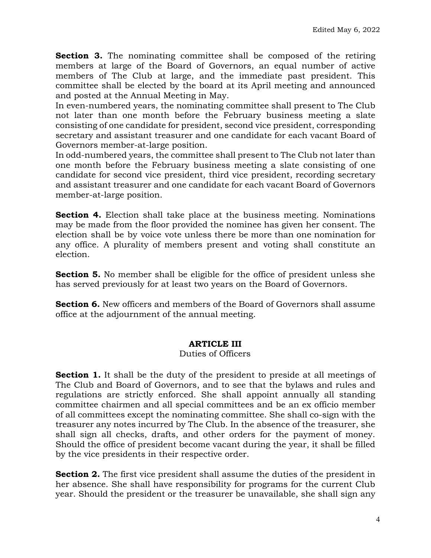**Section 3.** The nominating committee shall be composed of the retiring members at large of the Board of Governors, an equal number of active members of The Club at large, and the immediate past president. This committee shall be elected by the board at its April meeting and announced and posted at the Annual Meeting in May.

In even-numbered years, the nominating committee shall present to The Club not later than one month before the February business meeting a slate consisting of one candidate for president, second vice president, corresponding secretary and assistant treasurer and one candidate for each vacant Board of Governors member-at-large position.

In odd-numbered years, the committee shall present to The Club not later than one month before the February business meeting a slate consisting of one candidate for second vice president, third vice president, recording secretary and assistant treasurer and one candidate for each vacant Board of Governors member-at-large position.

**Section 4.** Election shall take place at the business meeting. Nominations may be made from the floor provided the nominee has given her consent. The election shall be by voice vote unless there be more than one nomination for any office. A plurality of members present and voting shall constitute an election.

**Section 5.** No member shall be eligible for the office of president unless she has served previously for at least two years on the Board of Governors.

**Section 6.** New officers and members of the Board of Governors shall assume office at the adjournment of the annual meeting.

### **ARTICLE III**

### Duties of Officers

**Section 1.** It shall be the duty of the president to preside at all meetings of The Club and Board of Governors, and to see that the bylaws and rules and regulations are strictly enforced. She shall appoint annually all standing committee chairmen and all special committees and be an ex officio member of all committees except the nominating committee. She shall co-sign with the treasurer any notes incurred by The Club. In the absence of the treasurer, she shall sign all checks, drafts, and other orders for the payment of money. Should the office of president become vacant during the year, it shall be filled by the vice presidents in their respective order.

**Section 2.** The first vice president shall assume the duties of the president in her absence. She shall have responsibility for programs for the current Club year. Should the president or the treasurer be unavailable, she shall sign any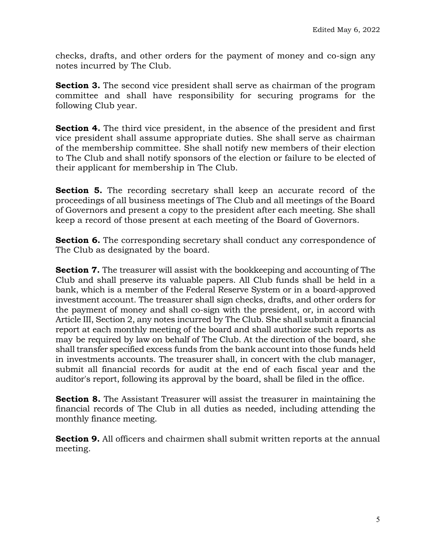checks, drafts, and other orders for the payment of money and co-sign any notes incurred by The Club.

**Section 3.** The second vice president shall serve as chairman of the program committee and shall have responsibility for securing programs for the following Club year.

**Section 4.** The third vice president, in the absence of the president and first vice president shall assume appropriate duties. She shall serve as chairman of the membership committee. She shall notify new members of their election to The Club and shall notify sponsors of the election or failure to be elected of their applicant for membership in The Club.

**Section 5.** The recording secretary shall keep an accurate record of the proceedings of all business meetings of The Club and all meetings of the Board of Governors and present a copy to the president after each meeting. She shall keep a record of those present at each meeting of the Board of Governors.

**Section 6.** The corresponding secretary shall conduct any correspondence of The Club as designated by the board.

**Section 7.** The treasurer will assist with the bookkeeping and accounting of The Club and shall preserve its valuable papers. All Club funds shall be held in a bank, which is a member of the Federal Reserve System or in a board-approved investment account. The treasurer shall sign checks, drafts, and other orders for the payment of money and shall co-sign with the president, or, in accord with Article III, Section 2, any notes incurred by The Club. She shall submit a financial report at each monthly meeting of the board and shall authorize such reports as may be required by law on behalf of The Club. At the direction of the board, she shall transfer specified excess funds from the bank account into those funds held in investments accounts. The treasurer shall, in concert with the club manager, submit all financial records for audit at the end of each fiscal year and the auditor's report, following its approval by the board, shall be filed in the office.

**Section 8.** The Assistant Treasurer will assist the treasurer in maintaining the financial records of The Club in all duties as needed, including attending the monthly finance meeting.

**Section 9.** All officers and chairmen shall submit written reports at the annual meeting.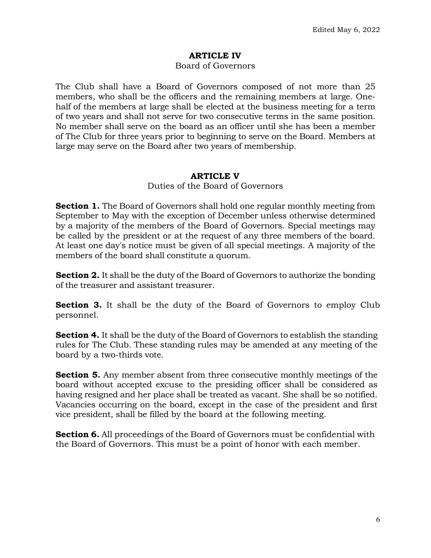# **ARTICLE IV**

#### Board of Governors

The Club shall have a Board of Governors composed of not more than 25 members, who shall be the officers and the remaining members at large. Onehalf of the members at large shall be elected at the business meeting for a term of two years and shall not serve for two consecutive terms in the same position. No member shall serve on the board as an officer until she has been a member of The Club for three years prior to beginning to serve on the Board. Members at large may serve on the Board after two years of membership.

### **ARTICLE V**

Duties of the Board of Governors

**Section 1.** The Board of Governors shall hold one regular monthly meeting from September to May with the exception of December unless otherwise determined by a majority of the members of the Board of Governors. Special meetings may be called by the president or at the request of any three members of the board. At least one day's notice must be given of all special meetings. A majority of the members of the board shall constitute a quorum.

**Section 2.** It shall be the duty of the Board of Governors to authorize the bonding of the treasurer and assistant treasurer.

**Section 3.** It shall be the duty of the Board of Governors to employ Club personnel.

**Section 4.** It shall be the duty of the Board of Governors to establish the standing rules for The Club. These standing rules may be amended at any meeting of the board by a two-thirds vote.

**Section 5.** Any member absent from three consecutive monthly meetings of the board without accepted excuse to the presiding officer shall be considered as having resigned and her place shall be treated as vacant. She shall be so notified. Vacancies occurring on the board, except in the case of the president and first vice president, shall be filled by the board at the following meeting.

**Section 6.** All proceedings of the Board of Governors must be confidential with the Board of Governors. This must be a point of honor with each member.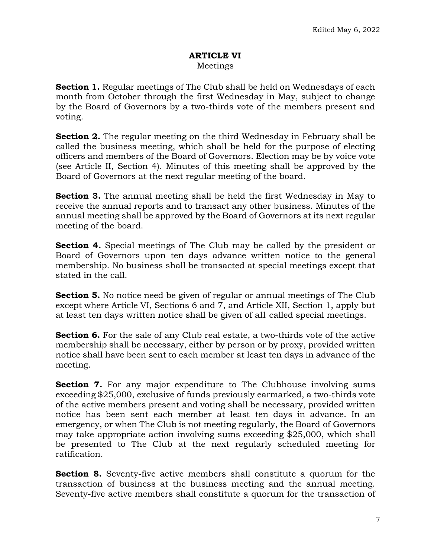#### **ARTICLE VI** Meetings

**Section 1.** Regular meetings of The Club shall be held on Wednesdays of each month from October through the first Wednesday in May, subject to change by the Board of Governors by a two-thirds vote of the members present and voting.

**Section 2.** The regular meeting on the third Wednesday in February shall be called the business meeting, which shall be held for the purpose of electing officers and members of the Board of Governors. Election may be by voice vote (see Article II, Section 4). Minutes of this meeting shall be approved by the Board of Governors at the next regular meeting of the board.

**Section 3.** The annual meeting shall be held the first Wednesday in May to receive the annual reports and to transact any other business. Minutes of the annual meeting shall be approved by the Board of Governors at its next regular meeting of the board.

**Section 4.** Special meetings of The Club may be called by the president or Board of Governors upon ten days advance written notice to the general membership. No business shall be transacted at special meetings except that stated in the call.

**Section 5.** No notice need be given of regular or annual meetings of The Club except where Article VI, Sections 6 and 7, and Article XII, Section 1, apply but at least ten days written notice shall be given of all called special meetings.

**Section 6.** For the sale of any Club real estate, a two-thirds vote of the active membership shall be necessary, either by person or by proxy, provided written notice shall have been sent to each member at least ten days in advance of the meeting.

**Section 7.** For any major expenditure to The Clubhouse involving sums exceeding \$25,000, exclusive of funds previously earmarked, a two-thirds vote of the active members present and voting shall be necessary, provided written notice has been sent each member at least ten days in advance. In an emergency, or when The Club is not meeting regularly, the Board of Governors may take appropriate action involving sums exceeding \$25,000, which shall be presented to The Club at the next regularly scheduled meeting for ratification.

**Section 8.** Seventy-five active members shall constitute a quorum for the transaction of business at the business meeting and the annual meeting. Seventy-five active members shall constitute a quorum for the transaction of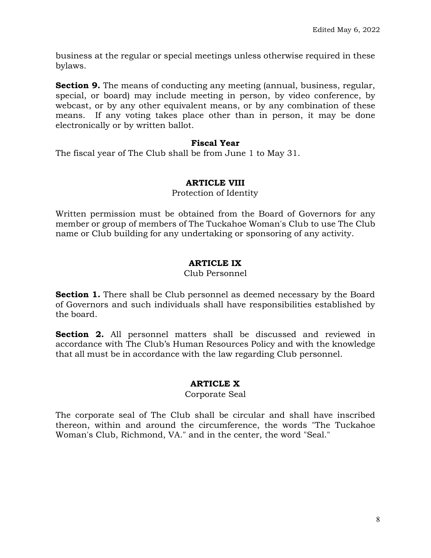business at the regular or special meetings unless otherwise required in these bylaws.

**Section 9.** The means of conducting any meeting (annual, business, regular, special, or board) may include meeting in person, by video conference, by webcast, or by any other equivalent means, or by any combination of these means. If any voting takes place other than in person, it may be done electronically or by written ballot.

### **Fiscal Year**

The fiscal year of The Club shall be from June 1 to May 31.

# **ARTICLE VIII**

Protection of Identity

Written permission must be obtained from the Board of Governors for any member or group of members of The Tuckahoe Woman's Club to use The Club name or Club building for any undertaking or sponsoring of any activity.

# **ARTICLE IX**

#### Club Personnel

**Section 1.** There shall be Club personnel as deemed necessary by the Board of Governors and such individuals shall have responsibilities established by the board.

**Section 2.** All personnel matters shall be discussed and reviewed in accordance with The Club's Human Resources Policy and with the knowledge that all must be in accordance with the law regarding Club personnel.

# **ARTICLE X**

### Corporate Seal

The corporate seal of The Club shall be circular and shall have inscribed thereon, within and around the circumference, the words "The Tuckahoe Woman's Club, Richmond, VA." and in the center, the word "Seal."